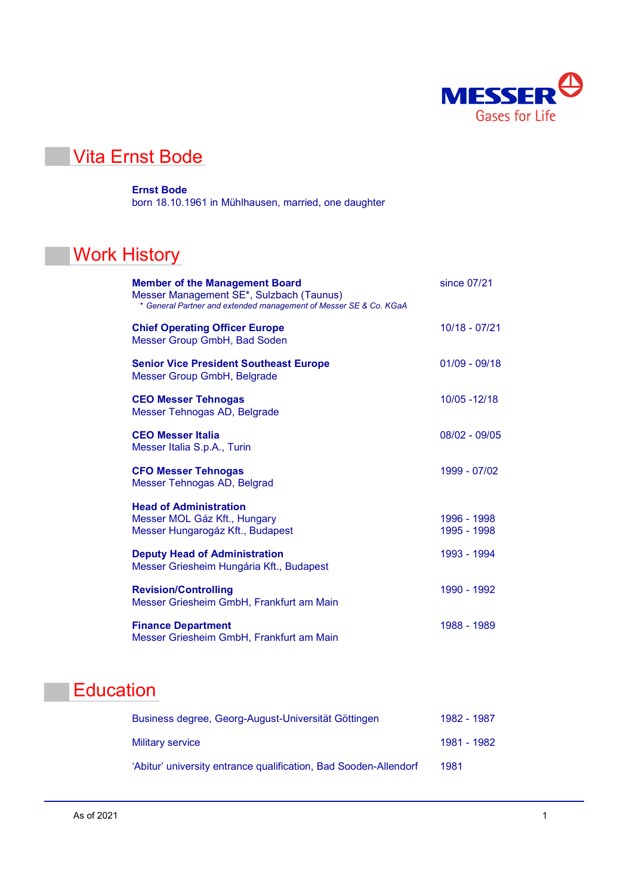

### Vita Ernst Bode

#### Ernst Bode

born 18.10.1961 in Mühlhausen, married, one daughter

# **Work History**

| <b>Member of the Management Board</b><br>Messer Management SE*, Sulzbach (Taunus)<br>* General Partner and extended management of Messer SE & Co. KGaA | since 07/21                |
|--------------------------------------------------------------------------------------------------------------------------------------------------------|----------------------------|
| <b>Chief Operating Officer Europe</b><br><b>Messer Group GmbH, Bad Soden</b>                                                                           | $10/18 - 07/21$            |
| <b>Senior Vice President Southeast Europe</b><br>Messer Group GmbH, Belgrade                                                                           | $01/09 - 09/18$            |
| <b>CEO Messer Tehnogas</b><br>Messer Tehnogas AD, Belgrade                                                                                             | 10/05 - 12/18              |
| <b>CEO Messer Italia</b><br>Messer Italia S.p.A., Turin                                                                                                | $08/02 - 09/05$            |
| <b>CFO Messer Tehnogas</b><br>Messer Tehnogas AD, Belgrad                                                                                              | 1999 - 07/02               |
| <b>Head of Administration</b><br>Messer MOL Gáz Kft., Hungary<br>Messer Hungarogáz Kft., Budapest                                                      | 1996 - 1998<br>1995 - 1998 |
| <b>Deputy Head of Administration</b><br>Messer Griesheim Hungária Kft., Budapest                                                                       | 1993 - 1994                |
| <b>Revision/Controlling</b><br>Messer Griesheim GmbH, Frankfurt am Main                                                                                | 1990 - 1992                |
| <b>Finance Department</b><br>Messer Griesheim GmbH, Frankfurt am Main                                                                                  | 1988 - 1989                |

# **Education**

| Business degree, Georg-August-Universität Göttingen              | 1982 - 1987 |
|------------------------------------------------------------------|-------------|
| <b>Military service</b>                                          | 1981 - 1982 |
| 'Abitur' university entrance qualification, Bad Sooden-Allendorf | 1981        |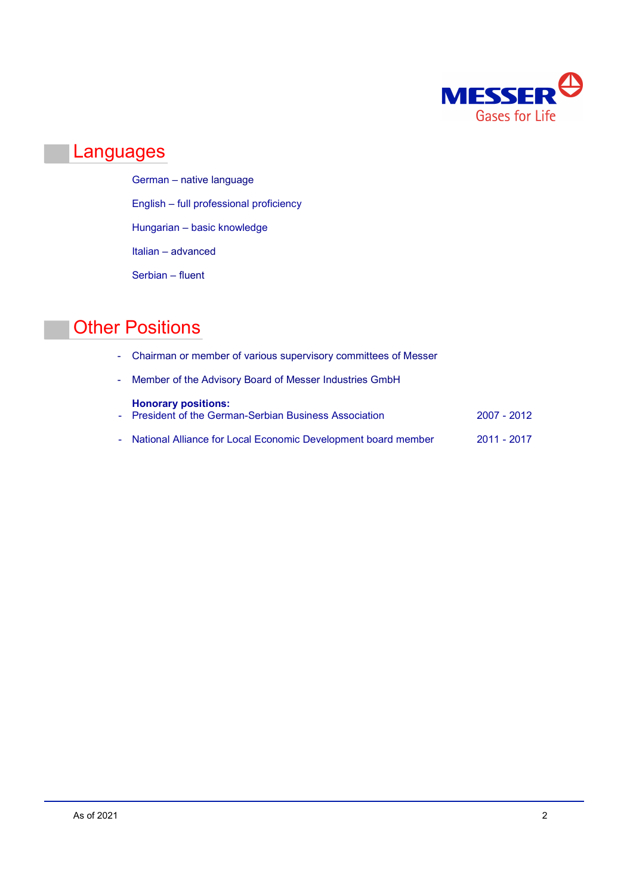

#### Languages

German – native language English – full professional proficiency Hungarian – basic knowledge Italian – advanced Serbian – fluent

### **Other Positions**

- Chairman or member of various supervisory committees of Messer
- Member of the Advisory Board of Messer Industries GmbH

| <b>Honorary positions:</b><br>- President of the German-Serbian Business Association | 2007 - 2012 |
|--------------------------------------------------------------------------------------|-------------|
| - National Alliance for Local Economic Development board member                      | 2011 - 2017 |